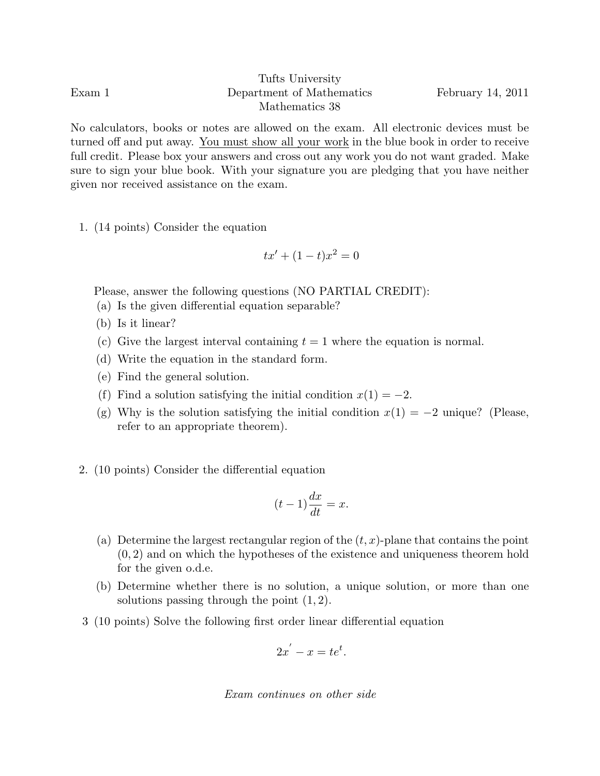Tufts University Exam 1 Department of Mathematics February 14, 2011 Mathematics 38

No calculators, books or notes are allowed on the exam. All electronic devices must be turned off and put away. You must show all your work in the blue book in order to receive full credit. Please box your answers and cross out any work you do not want graded. Make sure to sign your blue book. With your signature you are pledging that you have neither given nor received assistance on the exam.

1. (14 points) Consider the equation

$$
tx' + (1 - t)x^2 = 0
$$

Please, answer the following questions (NO PARTIAL CREDIT):

- (a) Is the given differential equation separable?
- (b) Is it linear?
- (c) Give the largest interval containing  $t = 1$  where the equation is normal.
- (d) Write the equation in the standard form.
- (e) Find the general solution.
- (f) Find a solution satisfying the initial condition  $x(1) = -2$ .
- (g) Why is the solution satisfying the initial condition  $x(1) = -2$  unique? (Please, refer to an appropriate theorem).
- 2. (10 points) Consider the differential equation

$$
(t-1)\frac{dx}{dt} = x.
$$

- (a) Determine the largest rectangular region of the  $(t, x)$ -plane that contains the point (0, 2) and on which the hypotheses of the existence and uniqueness theorem hold for the given o.d.e.
- (b) Determine whether there is no solution, a unique solution, or more than one solutions passing through the point  $(1, 2)$ .
- 3 (10 points) Solve the following first order linear differential equation

$$
2x^{'}-x=te^{t}.
$$

Exam continues on other side